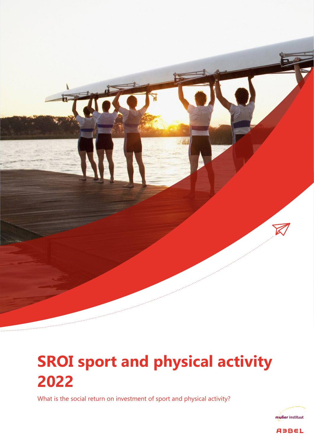

# **SROI sport and physical activity 2022**

What is the social return on investment of sport and physical activity?



**ABBEL**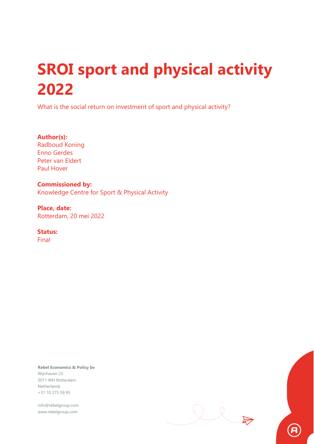# **SROI sport and physical activity 2022**

What is the social return on investment of sport and physical activity?

**Author(s):** Radboud Koning Enno Gerdes Peter van Eldert Paul Hover

**Commissioned by:** Knowledge Centre for Sport & Physical Activity

**Place, date:** Rotterdam, 20 mei 2022

**Status:**

Final

**Rebel Economics & Policy bv** Wijnhaven 23 3011 WH Rotterdam Netherlands +31 10 275 59 95

info@rebelgroup.com www.rebelgroup.com

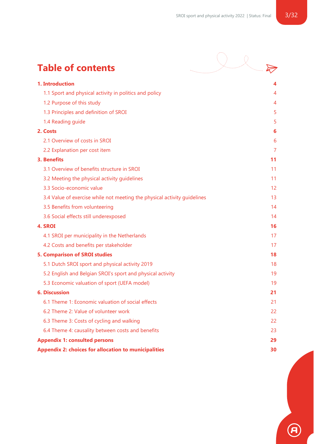# **Table of contents**

| <b>Table of contents</b>                                                 |    |
|--------------------------------------------------------------------------|----|
| 1. Introduction                                                          |    |
| 1.1 Sport and physical activity in politics and policy                   | 4  |
| 1.2 Purpose of this study                                                | 4  |
| 1.3 Principles and definition of SROI                                    | 5  |
| 1.4 Reading guide                                                        | 5  |
| 2. Costs                                                                 | 6  |
| 2.1 Overview of costs in SROI                                            | 6  |
| 2.2 Explanation per cost item                                            | 7  |
| 3. Benefits                                                              | 11 |
| 3.1 Overview of benefits structure in SROI                               | 11 |
| 3.2 Meeting the physical activity guidelines                             | 11 |
| 3.3 Socio-economic value                                                 | 12 |
| 3.4 Value of exercise while not meeting the physical activity guidelines | 13 |
| 3.5 Benefits from volunteering                                           | 14 |
| 3.6 Social effects still underexposed                                    | 14 |
| 4. SROI                                                                  | 16 |
| 4.1 SROI per municipality in the Netherlands                             | 17 |
| 4.2 Costs and benefits per stakeholder                                   | 17 |
| <b>5. Comparison of SROI studies</b>                                     | 18 |
| 5.1 Dutch SROI sport and physical activity 2019                          | 18 |
| 5.2 English and Belgian SROI's sport and physical activity               | 19 |
| 5.3 Economic valuation of sport (UEFA model)                             | 19 |
| <b>6. Discussion</b>                                                     | 21 |
| 6.1 Theme 1: Economic valuation of social effects                        | 21 |
| 6.2 Theme 2: Value of volunteer work                                     | 22 |
| 6.3 Theme 3: Costs of cycling and walking                                | 22 |

[6.4 Theme 4: causality between costs and benefits](#page-22-0) 23

#### **[Appendix 1: consulted persons](#page-28-0) 29**

**[Appendix 2: choices for allocation to municipalities](#page-29-0) 30**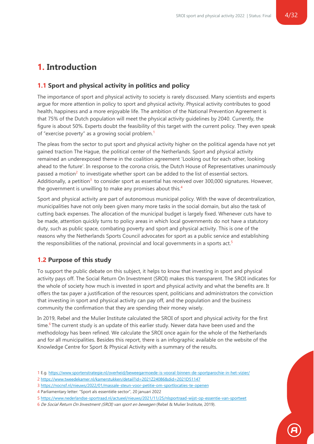## <span id="page-3-0"></span>**1. Introduction**

#### <span id="page-3-1"></span>**1.1 Sport and physical activity in politics and policy**

The importance of sport and physical activity to society is rarely discussed. Many scientists and experts argue for more attention in policy to sport and physical activity. Physical activity contributes to good health, happiness and a more enjoyable life. The ambition of the National Prevention Agreement is that 75% of the Dutch population will meet the physical activity guidelines by 2040. Currently, the figure is about 50%. Experts doubt the feasibility of this target with the current policy. They even speak of "exercise poverty" as a growing social problem.<sup>1</sup>

The pleas from the sector to put sport and physical activity higher on the political agenda have not yet gained traction The Hague, the political center of the Netherlands. Sport and physical activity remained an underexposed theme in the coalition agreement 'Looking out for each other, looking ahead to the future'. In response to the corona crisis, the Dutch House of Representatives unanimously passed a motion<sup>2</sup> to investigate whether sport can be added to the list of essential sectors. Additionally, a petition<sup>3</sup> to consider sport as essential has received over 300,000 signatures. However, the government is unwilling to make any promises about this.<sup>4</sup>

Sport and physical activity are part of autonomous municipal policy. With the wave of decentralization, municipalities have not only been given many more tasks in the social domain, but also the task of cutting back expenses. The allocation of the municipal budget is largely fixed. Whenever cuts have to be made, attention quickly turns to policy areas in which local governments do not have a statutory duty, such as public space, combating poverty and sport and physical activity. This is one of the reasons why the Netherlands Sports Council advocates for sport as a public service and establishing the responsibilities of the national, provincial and local governments in a sports act.<sup>5</sup>

#### <span id="page-3-2"></span>**1.2 Purpose of this study**

To support the public debate on this subject, it helps to know that investing in sport and physical activity pays off. The Social Return On Investment (SROI) makes this transparent. The SROI indicates for the whole of society how much is invested in sport and physical activity and what the benefits are. It offers the tax payer a justification of the resources spent, politicians and administrators the conviction that investing in sport and physical activity can pay off, and the population and the business community the confirmation that they are spending their money wisely.

In 2019, Rebel and the Mulier Institute calculated the SROI of sport and physical activity for the first time.<sup>6</sup> The current study is an update of this earlier study. Newer data have been used and the methodology has been refined. We calculate the SROI once again for the whole of the Netherlands and for all municipalities. Besides this report, there is an infographic available on the website of the Knowledge Centre for Sport & Physical Activity with a summary of the results.

3 <https://nocnsf.nl/nieuws/2022/01/massale-steun-voor-petitie-om-sportlocaties-te-openen>

<sup>1</sup> E.g.<https://www.sportenstrategie.nl/overheid/beweegarmoede-is-vooral-binnen-de-sportparochie-in-het-vizier/>

<sup>2</sup> <https://www.tweedekamer.nl/kamerstukken/detail?id=2021Z24086&did=2021D51147>

<sup>4</sup> Parliamentary letter: "Sport als essentiële sector", 20 januari 2022

<sup>5</sup> <https://www.nederlandse-sportraad.nl/actueel/nieuws/2021/11/25/nlsportraad-wijst-op-essentie-van-sportwet>

<sup>6</sup> De Social Return On Investment (SROI) van sport en bewegen (Rebel & Mulier Institute, 2019).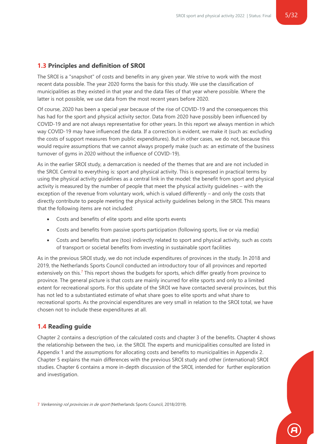#### <span id="page-4-0"></span>**1.3 Principles and definition of SROI**

The SROI is a "snapshot" of costs and benefits in any given year. We strive to work with the most recent data possible. The year 2020 forms the basis for this study. We use the classification of municipalities as they existed in that year and the data files of that year where possible. Where the latter is not possible, we use data from the most recent years before 2020.

Of course, 2020 has been a special year because of the rise of COVID-19 and the consequences this has had for the sport and physical activity sector. Data from 2020 have possibly been influenced by COVID-19 and are not always representative for other years. In this report we always mention in which way COVID-19 may have influenced the data. If a correction is evident, we make it (such as: excluding the costs of support measures from public expenditures). But in other cases, we do not, because this would require assumptions that we cannot always properly make (such as: an estimate of the business turnover of gyms in 2020 without the influence of COVID-19).

As in the earlier SROI study, a demarcation is needed of the themes that are and are not included in the SROI. Central to everything is: sport and physical activity. This is expressed in practical terms by using the physical activity guidelines as a central link in the model: the benefit from sport and physical activity is measured by the number of people that meet the physical activity guidelines – with the exception of the revenue from voluntary work, which is valued differently – and only the costs that directly contribute to people meeting the physical activity guidelines belong in the SROI. This means that the following items are not included:

- Costs and benefits of elite sports and elite sports events
- Costs and benefits from passive sports participation (following sports, live or via media)
- Costs and benefits that are (too) indirectly related to sport and physical activity, such as costs of transport or societal benefits from investing in sustainable sport facilities

As in the previous SROI study, we do not include expenditures of provinces in the study. In 2018 and 2019, the Netherlands Sports Council conducted an introductory tour of all provinces and reported extensively on this.<sup>7</sup> This report shows the budgets for sports, which differ greatly from province to province. The general picture is that costs are mainly incurred for elite sports and only to a limited extent for recreational sports. For this update of the SROI we have contacted several provinces, but this has not led to a substantiated estimate of what share goes to elite sports and what share to recreational sports. As the provincial expenditures are very small in relation to the SROI total, we have chosen not to include these expenditures at all.

#### <span id="page-4-1"></span>**1.4 Reading guide**

Chapter 2 contains a description of the calculated costs and chapter 3 of the benefits. Chapter 4 shows the relationship between the two, i.e. the SROI. The experts and municipalities consulted are listed in Appendix 1 and the assumptions for allocating costs and benefits to municipalities in Appendix 2. Chapter 5 explains the main differences with the previous SROI study and other (international) SROI studies. Chapter 6 contains a more in-depth discussion of the SROI, intended for further exploration and investigation.

7 Verkenning rol provincies in de sport (Netherlands Sports Council, 2018/2019).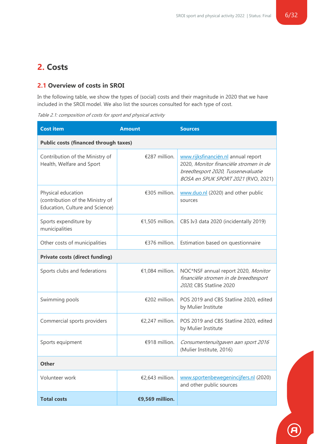# <span id="page-5-0"></span>**2. Costs**

#### <span id="page-5-1"></span>**2.1 Overview of costs in SROI**

In the following table, we show the types of (social) costs and their magnitude in 2020 that we have included in the SROI model. We also list the sources consulted for each type of cost.

Table 2.1: composition of costs for sport and physical activity

| <b>Cost item</b>                                                                          | <b>Amount</b>                                | <b>Sources</b>                                                                                                                                             |  |  |
|-------------------------------------------------------------------------------------------|----------------------------------------------|------------------------------------------------------------------------------------------------------------------------------------------------------------|--|--|
|                                                                                           | <b>Public costs (financed through taxes)</b> |                                                                                                                                                            |  |  |
| Contribution of the Ministry of<br>Health, Welfare and Sport                              | €287 million.                                | www.rijksfinanciën.nl annual report<br>2020, Monitor financiële stromen in de<br>breedtesport 2020, Tussenevaluatie<br>BOSA en SPUK SPORT 2021 (RVO, 2021) |  |  |
| Physical education<br>(contribution of the Ministry of<br>Education, Culture and Science) | €305 million.                                | www.duo.nl (2020) and other public<br>sources                                                                                                              |  |  |
| Sports expenditure by<br>municipalities                                                   | €1,505 million.                              | CBS Iv3 data 2020 (incidentally 2019)                                                                                                                      |  |  |
| Other costs of municipalities                                                             | €376 million.                                | Estimation based on questionnaire                                                                                                                          |  |  |
| <b>Private costs (direct funding)</b>                                                     |                                              |                                                                                                                                                            |  |  |
| Sports clubs and federations                                                              | €1,084 million.                              | NOC*NSF annual report 2020, Monitor<br>financiële stromen in de breedtesport<br>2020, CBS Statline 2020                                                    |  |  |
| Swimming pools                                                                            | €202 million.                                | POS 2019 and CBS Statline 2020, edited<br>by Mulier Institute                                                                                              |  |  |
| Commercial sports providers                                                               | €2,247 million.                              | POS 2019 and CBS Statline 2020, edited<br>by Mulier Institute                                                                                              |  |  |
| Sports equipment                                                                          | €918 million.                                | Consumentenuitgaven aan sport 2016<br>(Mulier Institute, 2016)                                                                                             |  |  |
| <b>Other</b>                                                                              |                                              |                                                                                                                                                            |  |  |
| Volunteer work                                                                            | €2,643 million.                              | www.sportenbewegenincijfers.nl (2020)<br>and other public sources                                                                                          |  |  |
| <b>Total costs</b>                                                                        | €9,569 million.                              |                                                                                                                                                            |  |  |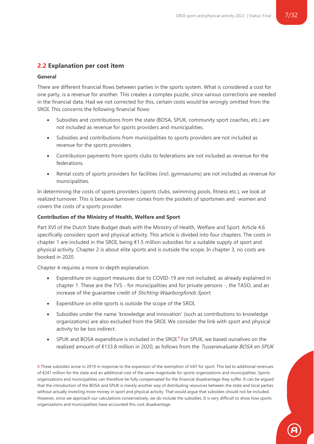#### <span id="page-6-0"></span>**2.2 Explanation per cost item**

#### **General**

There are different financial flows between parties in the sports system. What is considered a cost for one party, is a revenue for another. This creates a complex puzzle, since various corrections are needed in the financial data. Had we not corrected for this, certain costs would be wrongly omitted from the SROI. This concerns the following financial flows:

- Subsidies and contributions from the state (BOSA, SPUK, community sport coaches, etc.) are not included as revenue for sports providers and municipalities.
- Subsidies and contributions from municipalities to sports providers are not included as revenue for the sports providers.
- Contribution payments from sports clubs to federations are not included as revenue for the federations.
- Rental costs of sports providers for facilities (incl. gymnasiums) are not included as revenue for municipalities.

In determining the costs of sports providers (sports clubs, swimming pools, fitness etc.), we look at realized turnover. This is because turnover comes from the pockets of sportsmen and -women and covers the costs of a sports provider.

#### **Contribution of the Ministry of Health, Welfare and Sport**

Part XVI of the Dutch State Budget deals with the Ministry of Health, Welfare and Sport. Article 4.6 specifically considers sport and physical activity. This article is divided into four chapters. The costs in chapter 1 are included in the SROI, being  $\epsilon$ 1.5 million subsidies for a suitable supply of sport and physical activity. Chapter 2 is about elite sports and is outside the scope. In chapter 3, no costs are booked in 2020.

Chapter 4 requires a more in-depth explanation:

- Expenditure on support measures due to COVID-19 are not included, as already explained in chapter 1. These are the TVS - for municipalities and for private persons -, the TASO, and an increase of the guarantee credit of Stichting Waarborgfonds Sport.
- Expenditure on elite sports is outside the scope of the SROI.
- Subsidies under the name 'knowledge and innovation' (such as contributions to knowledge organizations) are also excluded from the SROI. We consider the link with sport and physical activity to be too indirect.
- SPUK and BOSA expenditure is included in the SROI. $8$  For SPUK, we based ourselves on the realized amount of €133.8 million in 2020, as follows from the *Tussenevaluatie BOSA en SPUK*

8 These subsidies arose in 2019 in response to the expansion of the exemption of VAT for sport. This led to additional revenues of €241 million for the state and an additional cost of the same magnitude for sports organizations and municipalities. Sports organizations and municipalities can therefore be fully compensated for the financial disadvantage they suffer. It can be argued that the introduction of the BOSA and SPUK is merely another way of distributing resources between the state and local parties without actually investing more money in sport and physical activity. That would argue that subsidies should not be included. However, since we approach our calculations conservatively, we do include the subsidies. It is very difficult to show how sports organizations and municipalities have accounted this cost disadvantage.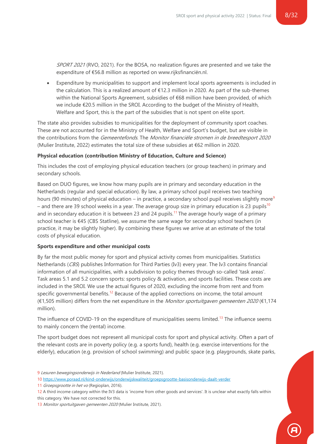SPORT 2021 (RVO, 2021). For the BOSA, no realization figures are presented and we take the expenditure of €56.8 million as reported on www.rijksfinanciën.nl.

• Expenditure by municipalities to support and implement local sports agreements is included in the calculation. This is a realized amount of €12.3 million in 2020. As part of the sub-themes within the National Sports Agreement, subsidies of €68 million have been provided, of which we include €20.5 million in the SROI. According to the budget of the Ministry of Health, Welfare and Sport, this is the part of the subsidies that is not spent on elite sport.

The state also provides subsidies to municipalities for the deployment of community sport coaches. These are not accounted for in the Ministry of Health, Welfare and Sport's budget, but are visible in the contributions from the Gemeentefonds. The Monitor financiële stromen in de breedtesport 2020 (Mulier Institute, 2022) estimates the total size of these subsidies at €62 million in 2020.

#### **Physical education (contribution Ministry of Education, Culture and Science)**

This includes the cost of employing physical education teachers (or group teachers) in primary and secondary schools.

Based on DUO figures, we know how many pupils are in primary and secondary education in the Netherlands (regular and special education). By law, a primary school pupil receives two teaching hours (90 minutes) of physical education – in practice, a secondary school pupil receives slightly more<sup>9</sup> – and there are 39 school weeks in a year. The average group size in primary education is 23 pupils<sup>10</sup> and in secondary education it is between 23 and 24 pupils.<sup>11</sup> The average hourly wage of a primary school teacher is €45 (CBS Statline), we assume the same wage for secondary school teachers (in practice, it may be slightly higher). By combining these figures we arrive at an estimate of the total costs of physical education.

#### **Sports expenditure and other municipal costs**

By far the most public money for sport and physical activity comes from municipalities. Statistics Netherlands (CBS) publishes Information for Third Parties (Iv3) every year. The Iv3 contains financial information of all municipalities, with a subdivision to policy themes through so-called 'task areas'. Task areas 5.1 and 5.2 concern sports: sports policy & activation, and sports facilities. These costs are included in the SROI. We use the actual figures of 2020, excluding the income from rent and from specific governmental benefits.<sup>12</sup> Because of the applied corrections on income, the total amount (€1,505 million) differs from the net expenditure in the Monitor sportuitgaven gemeenten 2020 (€1,174 million).

The influence of COVID-19 on the expenditure of municipalities seems limited.<sup>13</sup> The influence seems to mainly concern the (rental) income.

The sport budget does not represent all municipal costs for sport and physical activity. Often a part of the relevant costs are in poverty policy (e.g. a sports fund), health (e.g. exercise interventions for the elderly), education (e.g. provision of school swimming) and public space (e.g. playgrounds, skate parks,

9 Lesuren bewegingsonderwijs in Nederland (Mulier Institute, 2021).

11 Groepsgrootte in het vo (Regioplan, 2016).

<sup>10</sup> <https://www.poraad.nl/kind-onderwijs/onderwijskwaliteit/groepsgrootte-basisonderwijs-daalt-verder>

<sup>12</sup> A third income category within the IV3 data is 'income from other goods and services'. It is unclear what exactly falls within this category. We have not corrected for this.

<sup>13</sup> Monitor sportuitgaven gemeenten 2020 (Mulier Institute, 2021).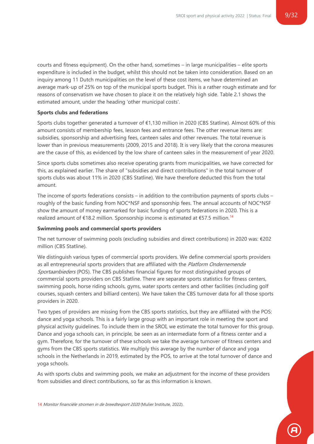courts and fitness equipment). On the other hand, sometimes – in large municipalities – elite sports expenditure is included in the budget, whilst this should not be taken into consideration. Based on an inquiry among 11 Dutch municipalities on the level of these cost items, we have determined an average mark-up of 25% on top of the municipal sports budget. This is a rather rough estimate and for reasons of conservatism we have chosen to place it on the relatively high side. Table 2.1 shows the estimated amount, under the heading 'other municipal costs'.

#### **Sports clubs and federations**

Sports clubs together generated a turnover of €1,130 million in 2020 (CBS Statline). Almost 60% of this amount consists of membership fees, lesson fees and entrance fees. The other revenue items are: subsidies, sponsorship and advertising fees, canteen sales and other revenues. The total revenue is lower than in previous measurements (2009, 2015 and 2018). It is very likely that the corona measures are the cause of this, as evidenced by the low share of canteen sales in the measurement of year 2020.

Since sports clubs sometimes also receive operating grants from municipalities, we have corrected for this, as explained earlier. The share of "subsidies and direct contributions" in the total turnover of sports clubs was about 11% in 2020 (CBS Statline). We have therefore deducted this from the total amount.

The income of sports federations consists – in addition to the contribution payments of sports clubs – roughly of the basic funding from NOC\*NSF and sponsorship fees. The annual accounts of NOC\*NSF show the amount of money earmarked for basic funding of sports federations in 2020. This is a realized amount of €18.2 million. Sponsorship income is estimated at €57.5 million.<sup>14</sup>

#### **Swimming pools and commercial sports providers**

The net turnover of swimming pools (excluding subsidies and direct contributions) in 2020 was: €202 million (CBS Statline).

We distinguish various types of commercial sports providers. We define commercial sports providers as all entrepreneurial sports providers that are affiliated with the Platform Ondernemende Sportaanbieders (POS). The CBS publishes financial figures for most distinguished groups of commercial sports providers on CBS Statline. There are separate sports statistics for fitness centers, swimming pools, horse riding schools, gyms, water sports centers and other facilities (including golf courses, squash centers and billiard centers). We have taken the CBS turnover data for all those sports providers in 2020.

Two types of providers are missing from the CBS sports statistics, but they are affiliated with the POS: dance and yoga schools. This is a fairly large group with an important role in meeting the sport and physical activity guidelines. To include them in the SROI, we estimate the total turnover for this group. Dance and yoga schools can, in principle, be seen as an intermediate form of a fitness center and a gym. Therefore, for the turnover of these schools we take the average turnover of fitness centers and gyms from the CBS sports statistics. We multiply this average by the number of dance and yoga schools in the Netherlands in 2019, estimated by the POS, to arrive at the total turnover of dance and yoga schools.

As with sports clubs and swimming pools, we make an adjustment for the income of these providers from subsidies and direct contributions, so far as this information is known.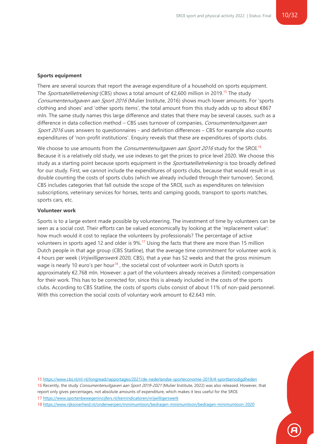#### **Sports equipment**

There are several sources that report the average expenditure of a household on sports equipment. The *Sportsatellietrekening* (CBS) shows a total amount of  $\epsilon$ 2,600 million in 2019.<sup>15</sup> The study Consumentenuitgaven aan Sport <sup>2016</sup> (Mulier Institute, 2016) shows much lower amounts. For 'sports clothing and shoes' and 'other sports items', the total amount from this study adds up to about  $\epsilon$ 867 mln. The same study names this large difference and states that there may be several causes, such as a difference in data collection method – CBS uses turnover of companies, Consumentenuitgaven aan Sport 2016 uses answers to questionnaires - and definition differences  $-$  CBS for example also counts expenditures of 'non-profit institutions'. Enquiry reveals that these are expenditures of sports clubs.

We choose to use amounts from the *Consumentenuitgaven aan Sport 2016* study for the SROI.<sup>16</sup> Because it is a relatively old study, we use indexes to get the prices to price level 2020. We choose this study as a starting point because sports equipment in the *Sportsatellietrekening* is too broadly defined for our study. First, we cannot include the expenditures of sports clubs, because that would result in us double counting the costs of sports clubs (which we already included through their turnover). Second, CBS includes categories that fall outside the scope of the SROI, such as expenditures on television subscriptions, veterinary services for horses, tents and camping goods, transport to sports matches, sports cars, etc.

#### **Volunteer work**

Sports is to a large extent made possible by volunteering. The investment of time by volunteers can be seen as a social cost. Their efforts can be valued economically by looking at the 'replacement value': how much would it cost to replace the volunteers by professionals? The percentage of active volunteers in sports aged 12 and older is 9%.<sup>17</sup> Using the facts that there are more than 15 million Dutch people in that age group (CBS Statline), that the average time commitment for volunteer work is 4 hours per week (Vrijwilligerswerk 2020, CBS), that a year has 52 weeks and that the gross minimum wage is nearly 10 euro's per hour<sup>18</sup>, the societal cost of volunteer work in Dutch sports is approximately €2.768 mln. However: a part of the volunteers already receives a (limited) compensation for their work. This has to be corrected for, since this is already included in the costs of the sports clubs. According to CBS Statline, the costs of sports clubs consist of about 11% of non-paid personnel. With this correction the social costs of voluntary work amount to €2.643 mln.

15 <https://www.cbs.nl/nl-nl/longread/rapportages/2021/de-nederlandse-sporteconomie-2019/4-sportbenodigdheden>

16 Recently, the study Consumentenuitgaven aan Sport 2019-2021 (Mulier Institute, 2022) was also released. However, that report only gives percentages, not absolute amounts of expenditure, which makes it less useful for the SROI. 17 <https://www.sportenbewegenincijfers.nl/kernindicatoren/vrijwilligerswerk>

18 <https://www.rijksoverheid.nl/onderwerpen/minimumloon/bedragen-minimumloon/bedragen-minimumloon-2020>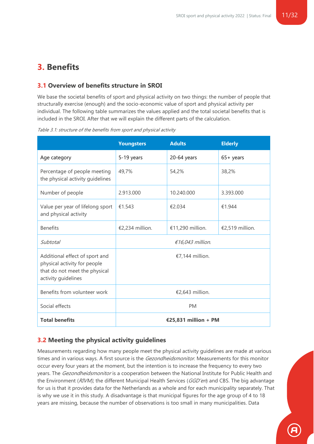# <span id="page-10-0"></span>**3. Benefits**

#### <span id="page-10-1"></span>**3.1 Overview of benefits structure in SROI**

We base the societal benefits of sport and physical activity on two things: the number of people that structurally exercise (enough) and the socio-economic value of sport and physical activity per individual. The following table summarizes the values applied and the total societal benefits that is included in the SROI. After that we will explain the different parts of the calculation.

|                                                                                                                        | <b>Youngsters</b>    | <b>Adults</b>    | <b>Elderly</b>  |
|------------------------------------------------------------------------------------------------------------------------|----------------------|------------------|-----------------|
| Age category                                                                                                           | 5-19 years           | $20-64$ years    | $65+$ years     |
| Percentage of people meeting<br>the physical activity guidelines                                                       | 49,7%                | 54,2%            | 38,2%           |
| Number of people                                                                                                       | 2.913.000            | 10.240.000       | 3.393.000       |
| Value per year of lifelong sport<br>and physical activity                                                              | €1.543               | €2.034           | €1.944          |
| <b>Benefits</b>                                                                                                        | €2,234 million.      | €11,290 million. | €2,519 million. |
| Subtotal                                                                                                               | $£16,043$ million.   |                  |                 |
| Additional effect of sport and<br>physical activity for people<br>that do not meet the physical<br>activity guidelines | €7,144 million.      |                  |                 |
| Benefits from volunteer work                                                                                           | €2,643 million.      |                  |                 |
| Social effects                                                                                                         | <b>PM</b>            |                  |                 |
| <b>Total benefits</b>                                                                                                  | €25,831 million + PM |                  |                 |

Table 3.1: structure of the benefits from sport and physical activity

#### <span id="page-10-2"></span>**3.2 Meeting the physical activity guidelines**

Measurements regarding how many people meet the physical activity guidelines are made at various times and in various ways. A first source is the *Gezondheidsmonitor*. Measurements for this monitor occur every four years at the moment, but the intention is to increase the frequency to every two years. The Gezondheidsmonitor is a cooperation between the National Institute for Public Health and the Environment (RIVM), the different Municipal Health Services (GGD'en) and CBS. The big advantage for us is that it provides data for the Netherlands as a whole and for each municipality separately. That is why we use it in this study. A disadvantage is that municipal figures for the age group of 4 to 18 years are missing, because the number of observations is too small in many municipalities. Data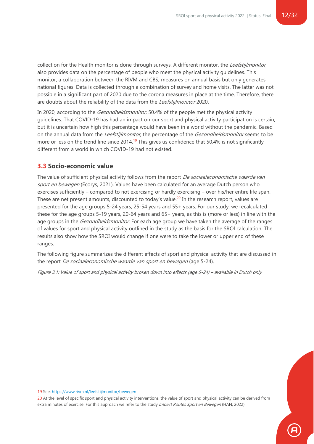collection for the Health monitor is done through surveys. A different monitor, the Leefstijlmonitor, also provides data on the percentage of people who meet the physical activity guidelines. This monitor, a collaboration between the RIVM and CBS, measures on annual basis but only generates national figures. Data is collected through a combination of survey and home visits. The latter was not possible in a significant part of 2020 due to the corona measures in place at the time. Therefore, there are doubts about the reliability of the data from the Leefstijlmonitor 2020.

In 2020, according to the *Gezondheidsmonitor*, 50.4% of the people met the physical activity guidelines. That COVID-19 has had an impact on our sport and physical activity participation is certain, but it is uncertain how high this percentage would have been in a world without the pandemic. Based on the annual data from the Leefstijlmonitor, the percentage of the Gezondheidsmonitor seems to be more or less on the trend line since 2014.<sup>19</sup> This gives us confidence that 50.4% is not significantly different from a world in which COVID-19 had not existed.

#### <span id="page-11-0"></span>**3.3 Socio-economic value**

The value of sufficient physical activity follows from the report *De sociaaleconomische waarde van* sport en bewegen (Ecorys, 2021). Values have been calculated for an average Dutch person who exercises sufficiently – compared to not exercising or hardly exercising – over his/her entire life span. These are net present amounts, discounted to today's value.<sup>20</sup> In the research report, values are presented for the age groups 5-24 years, 25-54 years and 55+ years. For our study, we recalculated these for the age groups 5-19 years, 20-64 years and 65+ years, as this is (more or less) in line with the age groups in the *Gezondheidsmonitor*. For each age group we have taken the average of the ranges of values for sport and physical activity outlined in the study as the basis for the SROI calculation. The results also show how the SROI would change if one were to take the lower or upper end of these ranges.

The following figure summarizes the different effects of sport and physical activity that are discussed in the report De sociaaleconomische waarde van sport en bewegen (age 5-24).

Figure 3.1: Value of sport and physical activity broken down into effects (age 5-24) – available in Dutch only

19 See[: https://www.rivm.nl/leefstijlmonitor/bewegen](https://www.rivm.nl/leefstijlmonitor/bewegen)

20 At the level of specific sport and physical activity interventions, the value of sport and physical activity can be derived from extra minutes of exercise. For this approach we refer to the study Impact Routes Sport en Bewegen (HAN, 2022).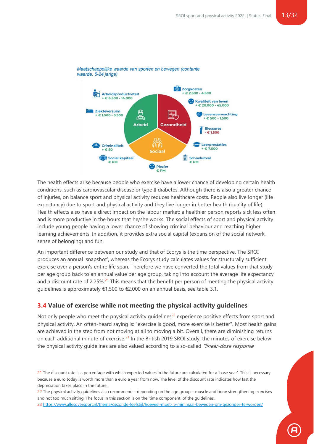

Maatschappelijke waarde van sporten en bewegen (contante waarde, 5-24 jarige)

The health effects arise because people who exercise have a lower chance of developing certain health conditions, such as cardiovascular disease or type II diabetes. Although there is also a greater chance of injuries, on balance sport and physical activity reduces healthcare costs. People also live longer (life expectancy) due to sport and physical activity and they live longer in better health (quality of life). Health effects also have a direct impact on the labour market: a healthier person reports sick less often and is more productive in the hours that he/she works. The social effects of sport and physical activity include young people having a lower chance of showing criminal behaviour and reaching higher learning achievements. In addition, it provides extra social capital (expansion of the social network, sense of belonging) and fun.

An important difference between our study and that of Ecorys is the time perspective. The SROI produces an annual 'snapshot', whereas the Ecorys study calculates values for structurally sufficient exercise over a person's entire life span. Therefore we have converted the total values from that study per age group back to an annual value per age group, taking into account the average life expectancy and a discount rate of 2.25%.<sup>21</sup> This means that the benefit per person of meeting the physical activity guidelines is approximately €1,500 to €2,000 on an annual basis, see table 3.1.

#### <span id="page-12-0"></span>**3.4 Value of exercise while not meeting the physical activity guidelines**

Not only people who meet the physical activity guidelines<sup>22</sup> experience positive effects from sport and physical activity. An often-heard saying is: "exercise is good, more exercise is better". Most health gains are achieved in the step from not moving at all to moving a bit. Overall, there are diminishing returns on each additional minute of exercise.<sup>23</sup> In the British 2019 SROI study, the minutes of exercise below the physical activity guidelines are also valued according to a so-called "linear-dose response

23 <https://www.allesoversport.nl/thema/gezonde-leefstijl/hoeveel-moet-je-minimaal-bewegen-om-gezonder-te-worden/>

<sup>21</sup> The discount rate is a percentage with which expected values in the future are calculated for a 'base year'. This is necessary because a euro today is worth more than a euro a year from now. The level of the discount rate indicates how fast the depreciation takes place in the future.

<sup>22</sup> The physical activity guidelines also recommend – depending on the age group – muscle and bone strengthening exercises and not too much sitting. The focus in this section is on the 'time component' of the guidelines.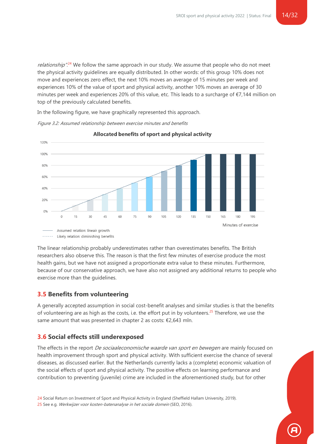relationship".<sup>24</sup> We follow the same approach in our study. We assume that people who do not meet the physical activity guidelines are equally distributed. In other words: of this group 10% does not move and experiences zero effect, the next 10% moves an average of 15 minutes per week and experiences 10% of the value of sport and physical activity, another 10% moves an average of 30 minutes per week and experiences 20% of this value, etc. This leads to a surcharge of €7,144 million on top of the previously calculated benefits.

In the following figure, we have graphically represented this approach.

Figure 3.2: Assumed relationship between exercise minutes and benefits

Allocated benefits of sport and physical activity 120% 100% 80%

75

90

105

120

60

The linear relationship probably underestimates rather than overestimates benefits. The British researchers also observe this. The reason is that the first few minutes of exercise produce the most health gains, but we have not assigned a proportionate extra value to these minutes. Furthermore, because of our conservative approach, we have also not assigned any additional returns to people who exercise more than the guidelines.

135

150

165

180

Minutes of exercise

195

#### <span id="page-13-0"></span>**3.5 Benefits from volunteering**

60%

40%

20%

 $\Omega$ %

 $\circ$ 

15

 $30$ 

Assumed relation: lineair growth Likely relation: diminishing benefits

45

A generally accepted assumption in social cost-benefit analyses and similar studies is that the benefits of volunteering are as high as the costs, i.e. the effort put in by volunteers.<sup>25</sup> Therefore, we use the same amount that was presented in chapter 2 as costs: €2,643 mln.

### <span id="page-13-1"></span>**3.6 Social effects still underexposed**

The effects in the report *De sociaaleconomische waarde van sport en bewegen* are mainly focused on health improvement through sport and physical activity. With sufficient exercise the chance of several diseases, as discussed earlier. But the Netherlands currently lacks a (complete) economic valuation of the social effects of sport and physical activity. The positive effects on learning performance and contribution to preventing (juvenile) crime are included in the aforementioned study, but for other

<sup>24</sup> Social Return on Investment of Sport and Physical Activity in England (Sheffield Hallam University, 2019).

<sup>25</sup> See e.g. Werkwijzer voor kosten-batenanalyse in het sociale domein (SEO, 2016).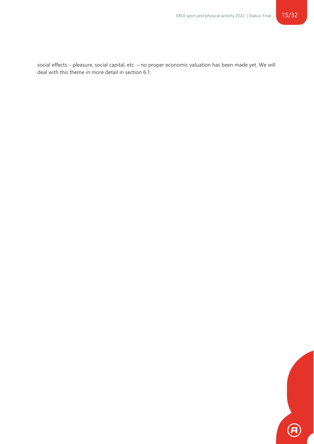social effects – pleasure, social capital, etc. – no proper economic valuation has been made yet. We will deal with this theme in more detail in section 6.1.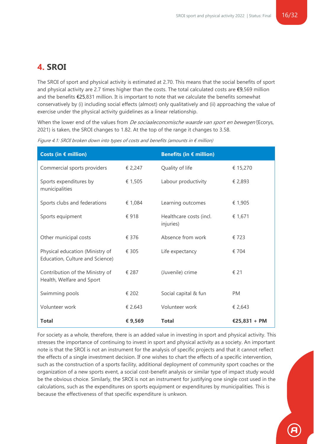# <span id="page-15-0"></span>**4. SROI**

The SROI of sport and physical activity is estimated at 2.70. This means that the social benefits of sport and physical activity are 2.7 times higher than the costs. The total calculated costs are €9,569 million and the benefits €25,831 million. It is important to note that we calculate the benefits somewhat conservatively by (i) including social effects (almost) only qualitatively and (ii) approaching the value of exercise under the physical activity guidelines as a linear relationship.

When the lower end of the values from *De sociaaleconomische waarde van sport en bewegen* (Ecorys, 2021) is taken, the SROI changes to 1.82. At the top of the range it changes to 3.58.

| Costs (in $f$ million)                                             |         | Benefits (in $\epsilon$ million)     |              |
|--------------------------------------------------------------------|---------|--------------------------------------|--------------|
| Commercial sports providers                                        | € 2,247 | Quality of life                      | € 15,270     |
| Sports expenditures by<br>municipalities                           | € 1,505 | Labour productivity                  | € 2,893      |
| Sports clubs and federations                                       | € 1,084 | Learning outcomes                    | € 1,905      |
| Sports equipment                                                   | €918    | Healthcare costs (incl.<br>injuries) | € 1,671      |
| Other municipal costs                                              | € 376   | Absence from work                    | €723         |
| Physical education (Ministry of<br>Education, Culture and Science) | € 305   | Life expectancy                      | € 704        |
| Contribution of the Ministry of<br>Health, Welfare and Sport       | € 287   | (Juvenile) crime                     | € 21         |
| Swimming pools                                                     | € 202   | Social capital & fun                 | <b>PM</b>    |
| Volunteer work                                                     | € 2.643 | Volunteer work                       | € 2,643      |
| <b>Total</b>                                                       | €9,569  | <b>Total</b>                         | €25,831 + PM |

Figure 4.1: SROI broken down into types of costs and benefits (amounts in  $\epsilon$  million)

For society as a whole, therefore, there is an added value in investing in sport and physical activity. This stresses the importance of continuing to invest in sport and physical activity as a society. An important note is that the SROI is not an instrument for the analysis of specific projects and that it cannot reflect the effects of a single investment decision. If one wishes to chart the effects of a specific intervention, such as the construction of a sports facility, additional deployment of community sport coaches or the organization of a new sports event, a social cost-benefit analysis or similar type of impact study would be the obvious choice. Similarly, the SROI is not an instrument for justifying one single cost used in the calculations, such as the expenditures on sports equipment or expenditures by municipalities. This is because the effectiveness of that specific expenditure is unkwon.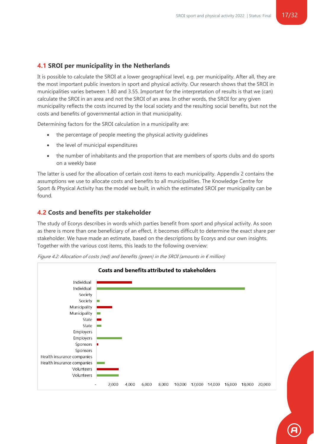#### <span id="page-16-0"></span>**4.1 SROI per municipality in the Netherlands**

It is possible to calculate the SROI at a lower geographical level, e.g. per municipality. After all, they are the most important public investors in sport and physical activity. Our research shows that the SROI in municipalities varies between 1.80 and 3.55. Important for the interpretation of results is that we (can) calculate the SROI in an area and not the SROI of an area. In other words, the SROI for any given municipality reflects the costs incurred by the local society and the resulting social benefits, but not the costs and benefits of governmental action in that municipality.

Determining factors for the SROI calculation in a municipality are:

- the percentage of people meeting the physical activity quidelines
- the level of municipal expenditures
- the number of inhabitants and the proportion that are members of sports clubs and do sports on a weekly base

The latter is used for the allocation of certain cost items to each municipality. Appendix 2 contains the assumptions we use to allocate costs and benefits to all municipalities. The Knowledge Centre for Sport & Physical Activity has the model we built, in which the estimated SROI per municipality can be found.

#### <span id="page-16-1"></span>**4.2 Costs and benefits per stakeholder**

The study of Ecorys describes in words which parties benefit from sport and physical activity. As soon as there is more than one beneficiary of an effect, it becomes difficult to determine the exact share per stakeholder. We have made an estimate, based on the descriptions by Ecorys and our own insights. Together with the various cost items, this leads to the following overview:



Figure 4.2: Allocation of costs (red) and benefits (green) in the SROI (amounts in  $\epsilon$  million)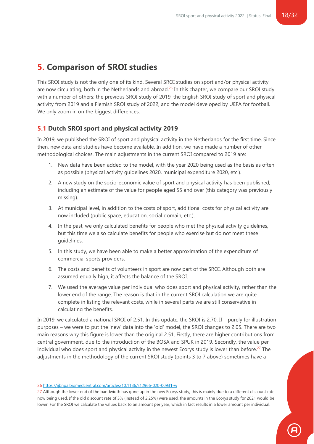# <span id="page-17-0"></span>**5. Comparison of SROI studies**

This SROI study is not the only one of its kind. Several SROI studies on sport and/or physical activity are now circulating, both in the Netherlands and abroad.<sup>26</sup> In this chapter, we compare our SROI study with a number of others: the previous SROI study of 2019, the English SROI study of sport and physical activity from 2019 and a Flemish SROI study of 2022, and the model developed by UEFA for football. We only zoom in on the biggest differences.

### <span id="page-17-1"></span>**5.1 Dutch SROI sport and physical activity 2019**

In 2019, we published the SROI of sport and physical activity in the Netherlands for the first time. Since then, new data and studies have become available. In addition, we have made a number of other methodological choices. The main adjustments in the current SROI compared to 2019 are:

- 1. New data have been added to the model, with the year 2020 being used as the basis as often as possible (physical activity guidelines 2020, municipal expenditure 2020, etc.).
- 2. A new study on the socio-economic value of sport and physical activity has been published, including an estimate of the value for people aged 55 and over (this category was previously missing).
- 3. At municipal level, in addition to the costs of sport, additional costs for physical activity are now included (public space, education, social domain, etc.).
- 4. In the past, we only calculated benefits for people who met the physical activity guidelines, but this time we also calculate benefits for people who exercise but do not meet these guidelines.
- 5. In this study, we have been able to make a better approximation of the expenditure of commercial sports providers.
- 6. The costs and benefits of volunteers in sport are now part of the SROI. Although both are assumed equally high, it affects the balance of the SROI.
- 7. We used the average value per individual who does sport and physical activity, rather than the lower end of the range. The reason is that in the current SROI calculation we are quite complete in listing the relevant costs, while in several parts we are still conservative in calculating the benefits.

In 2019, we calculated a national SROI of 2.51. In this update, the SROI is 2.70. If – purely for illustration purposes – we were to put the 'new' data into the 'old' model, the SROI changes to 2.05. There are two main reasons why this figure is lower than the original 2.51. Firstly, there are higher contributions from central government, due to the introduction of the BOSA and SPUK in 2019. Secondly, the value per individual who does sport and physical activity in the newest Ecorys study is lower than before.<sup>27</sup> The adjustments in the methodology of the current SROI study (points 3 to 7 above) sometimes have a

#### 26 <https://ijbnpa.biomedcentral.com/articles/10.1186/s12966-020-00931-w>

27 Although the lower end of the bandwidth has gone up in the new Ecorys study, this is mainly due to a different discount rate now being used. If the old discount rate of 3% (instead of 2.25%) were used, the amounts in the Ecorys study for 2021 would be lower. For the SROI we calculate the values back to an amount per year, which in fact results in a lower amount per individual.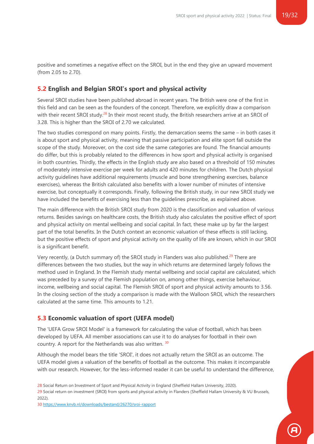positive and sometimes a negative effect on the SROI, but in the end they give an upward movement (from 2.05 to 2.70).

#### <span id="page-18-0"></span>**5.2 English and Belgian SROI's sport and physical activity**

Several SROI studies have been published abroad in recent years. The British were one of the first in this field and can be seen as the founders of the concept. Therefore, we explicitly draw a comparison with their recent SROI study.<sup>28</sup> In their most recent study, the British researchers arrive at an SROI of 3.28. This is higher than the SROI of 2.70 we calculated.

The two studies correspond on many points. Firstly, the demarcation seems the same – in both cases it is about sport and physical activity, meaning that passive participation and elite sport fall outside the scope of the study. Moreover, on the cost side the same categories are found. The financial amounts do differ, but this is probably related to the differences in how sport and physical activity is organised in both countries. Thirdly, the effects in the English study are also based on a threshold of 150 minutes of moderately intensive exercise per week for adults and 420 minutes for children. The Dutch physical activity guidelines have additional requirements (muscle and bone strengthening exercises, balance exercises), whereas the British calculated also benefits with a lower number of minutes of intensive exercise, but conceptually it corresponds. Finally, following the British study, in our new SROI study we have included the benefits of exercising less than the guidelines prescribe, as explained above.

The main difference with the British SROI study from 2020 is the classification and valuation of various returns. Besides savings on healthcare costs, the British study also calculates the positive effect of sport and physical activity on mental wellbeing and social capital. In fact, these make up by far the largest part of the total benefits. In the Dutch context an economic valuation of these effects is still lacking, but the positive effects of sport and physical activity on the quality of life are known, which in our SROI is a significant benefit.

Very recently, (a Dutch summary of) the SROI study in Flanders was also published.<sup>29</sup> There are differences between the two studies, but the way in which returns are determined largely follows the method used in England. In the Flemish study mental wellbeing and social capital are calculated, which was preceded by a survey of the Flemish population on, among other things, exercise behaviour, income, wellbeing and social capital. The Flemish SROI of sport and physical activity amounts to 3.56. In the closing section of the study a comparison is made with the Walloon SROI, which the researchers calculated at the same time. This amounts to 1.21.

#### <span id="page-18-1"></span>**5.3 Economic valuation of sport (UEFA model)**

The 'UEFA Grow SROI Model' is a framework for calculating the value of football, which has been developed by UEFA. All member associations can use it to do analyses for football in their own country. A report for the Netherlands was also written. 30

Although the model bears the title 'SROI', it does not actually return the SROI as an outcome. The UEFA model gives a valuation of the benefits of football as the outcome. This makes it incomparable with our research. However, for the less-informed reader it can be useful to understand the difference,

<sup>28</sup> Social Return on Investment of Sport and Physical Activity in England (Sheffield Hallam University, 2020).

<sup>29</sup> Social return on investment (SROI) from sports and physical activity in Flanders (Sheffield Hallam University & VU Brussels, 2022).

<sup>30</sup> <https://www.knvb.nl/downloads/bestand/26270/sroi-rapport>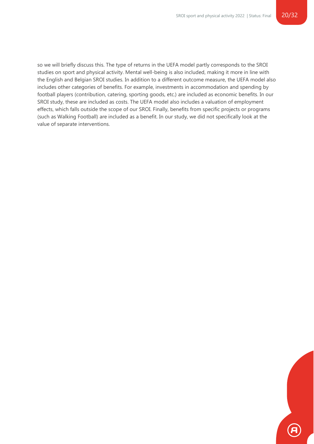so we will briefly discuss this. The type of returns in the UEFA model partly corresponds to the SROI studies on sport and physical activity. Mental well-being is also included, making it more in line with the English and Belgian SROI studies. In addition to a different outcome measure, the UEFA model also includes other categories of benefits. For example, investments in accommodation and spending by football players (contribution, catering, sporting goods, etc.) are included as economic benefits. In our SROI study, these are included as costs. The UEFA model also includes a valuation of employment effects, which falls outside the scope of our SROI. Finally, benefits from specific projects or programs (such as Walking Football) are included as a benefit. In our study, we did not specifically look at the value of separate interventions.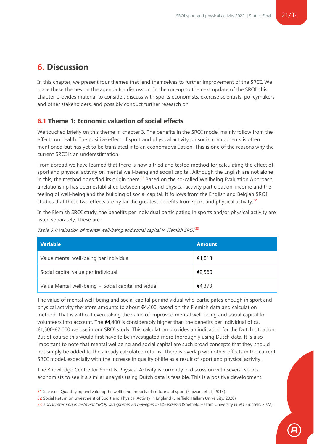# <span id="page-20-0"></span>**6. Discussion**

In this chapter, we present four themes that lend themselves to further improvement of the SROI. We place these themes on the agenda for discussion. In the run-up to the next update of the SROI, this chapter provides material to consider, discuss with sports economists, exercise scientists, policymakers and other stakeholders, and possibly conduct further research on.

#### <span id="page-20-1"></span>**6.1 Theme 1: Economic valuation of social effects**

We touched briefly on this theme in chapter 3. The benefits in the SROI model mainly follow from the effects on health. The positive effect of sport and physical activity on social components is often mentioned but has yet to be translated into an economic valuation. This is one of the reasons why the current SROI is an underestimation.

From abroad we have learned that there is now a tried and tested method for calculating the effect of sport and physical activity on mental well-being and social capital. Although the English are not alone in this, the method does find its origin there.<sup>31</sup> Based on the so-called Wellbeing Evaluation Approach, a relationship has been established between sport and physical activity participation, income and the feeling of well-being and the building of social capital. It follows from the English and Belgian SROI studies that these two effects are by far the greatest benefits from sport and physical activity.<sup>32</sup>

In the Flemish SROI study, the benefits per individual participating in sports and/or physical activity are listed separately. These are:

| Variable                                            | <b>Amount</b> |
|-----------------------------------------------------|---------------|
| Value mental well-being per individual              | €1,813        |
| Social capital value per individual                 | €2,560        |
| Value Mental well-being + Social capital individual | €4,373        |

Table 6.1: Valuation of mental well-being and social capital in Flemish SROI<sup>33</sup>

The value of mental well-being and social capital per individual who participates enough in sport and physical activity therefore amounts to about €4,400, based on the Flemish data and calculation method. That is without even taking the value of improved mental well-being and social capital for volunteers into account. The  $$4,400$  is considerably higher than the benefits per individual of ca. €1,500-€2,000 we use in our SROI study. This calculation provides an indication for the Dutch situation. But of course this would first have to be investigated more thoroughly using Dutch data. It is also important to note that mental wellbeing and social capital are such broad concepts that they should not simply be added to the already calculated returns. There is overlap with other effects in the current SROI model, especially with the increase in quality of life as a result of sport and physical activity.

The Knowledge Centre for Sport & Physical Activity is currently in discussion with several sports economists to see if a similar analysis using Dutch data is feasible. This is a positive development.

33 Social return on investment (SROI) van sporten en bewegen in Vlaanderen (Sheffield Hallam University & VU Brussels, 2022).

<sup>31</sup> See e.g. : Quantifying and valuing the wellbeing impacts of culture and sport (Fujiwara et al., 2014).

<sup>32</sup> Social Return on Investment of Sport and Physical Activity in England (Sheffield Hallam University, 2020).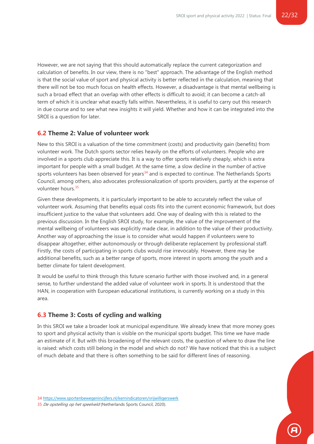However, we are not saying that this should automatically replace the current categorization and calculation of benefits. In our view, there is no "best" approach. The advantage of the English method is that the social value of sport and physical activity is better reflected in the calculation, meaning that there will not be too much focus on health effects. However, a disadvantage is that mental wellbeing is such a broad effect that an overlap with other effects is difficult to avoid; it can become a catch-all term of which it is unclear what exactly falls within. Nevertheless, it is useful to carry out this research in due course and to see what new insights it will yield. Whether and how it can be integrated into the SROI is a question for later.

#### <span id="page-21-0"></span>**6.2 Theme 2: Value of volunteer work**

New to this SROI is a valuation of the time commitment (costs) and productivity gain (benefits) from volunteer work. The Dutch sports sector relies heavily on the efforts of volunteers. People who are involved in a sports club appreciate this. It is a way to offer sports relatively cheaply, which is extra important for people with a small budget. At the same time, a slow decline in the number of active sports volunteers has been observed for years<sup>34</sup> and is expected to continue. The Netherlands Sports Council, among others, also advocates professionalization of sports providers, partly at the expense of volunteer hours.<sup>35</sup>

Given these developments, it is particularly important to be able to accurately reflect the value of volunteer work. Assuming that benefits equal costs fits into the current economic framework, but does insufficient justice to the value that volunteers add. One way of dealing with this is related to the previous discussion. In the English SROI study, for example, the value of the improvement of the mental wellbeing of volunteers was explicitly made clear, in addition to the value of their productivity. Another way of approaching the issue is to consider what would happen if volunteers were to disappear altogether, either autonomously or through deliberate replacement by professional staff. Firstly, the costs of participating in sports clubs would rise irrevocably. However, there may be additional benefits, such as a better range of sports, more interest in sports among the youth and a better climate for talent development.

It would be useful to think through this future scenario further with those involved and, in a general sense, to further understand the added value of volunteer work in sports. It is understood that the HAN, in cooperation with European educational institutions, is currently working on a study in this area.

#### <span id="page-21-1"></span>**6.3 Theme 3: Costs of cycling and walking**

In this SROI we take a broader look at municipal expenditure. We already knew that more money goes to sport and physical activity than is visible on the municipal sports budget. This time we have made an estimate of it. But with this broadening of the relevant costs, the question of where to draw the line is raised: which costs still belong in the model and which do not? We have noticed that this is a subject of much debate and that there is often something to be said for different lines of reasoning.

34 <https://www.sportenbewegenincijfers.nl/kernindicatoren/vrijwilligerswerk>

35 De opstelling op het speelveld (Netherlands Sports Council, 2020).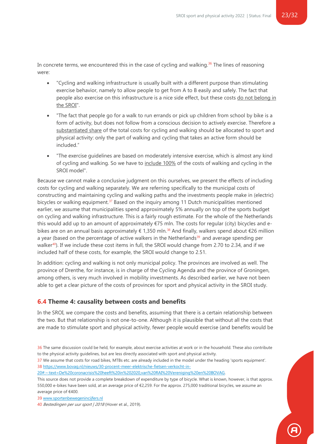In concrete terms, we encountered this in the case of cycling and walking. $36$  The lines of reasoning were:

- "Cycling and walking infrastructure is usually built with a different purpose than stimulating exercise behavior, namely to allow people to get from A to B easily and safely. The fact that people also exercise on this infrastructure is a nice side effect, but these costs do not belong in the SROI".
- "The fact that people go for a walk to run errands or pick up children from school by bike is a form of activity, but does not follow from a conscious decision to actively exercise. Therefore a substantiated share of the total costs for cycling and walking should be allocated to sport and physical activity: only the part of walking and cycling that takes an active form should be included."
- "The exercise guidelines are based on moderately intensive exercise, which is almost any kind of cycling and walking. So we have to include 100% of the costs of walking and cycling in the SROI model".

Because we cannot make a conclusive judgment on this ourselves, we present the effects of including costs for cycling and walking separately. We are referring specifically to the municipal costs of constructing and maintaining cycling and walking paths and the investments people make in (electric) bicycles or walking equipment.<sup>37</sup> Based on the inquiry among 11 Dutch municipalities mentioned earlier, we assume that municipalities spend approximately 5% annually on top of the sports budget on cycling and walking infrastructure. This is a fairly rough estimate. For the whole of the Netherlands this would add up to an amount of approximately €75 mln. The costs for regular (city) bicycles and ebikes are on an annual basis approximately € 1,350 mln.<sup>38</sup> And finally, walkers spend about €26 million a year (based on the percentage of active walkers in the Netherlands<sup>39</sup> and average spending per walker<sup>40</sup>). If we include these cost items in full, the SROI would change from 2.70 to 2.34, and if we included half of these costs, for example, the SROI would change to 2.51.

In addition: cycling and walking is not only municipal policy. The provinces are involved as well. The province of Drenthe, for instance, is in charge of the Cycling Agenda and the province of Groningen, among others, is very much involved in mobility investments. As described earlier, we have not been able to get a clear picture of the costs of provinces for sport and physical activity in the SROI study.

#### <span id="page-22-0"></span>**6.4 Theme 4: causality between costs and benefits**

In the SROI, we compare the costs and benefits, assuming that there is a certain relationship between the two. But that relationship is not one-to-one. Although it is plausible that without all the costs that are made to stimulate sport and physical activity, fewer people would exercise (and benefits would be

37 We assume that costs for road bikes, MTBs etc. are already included in the model under the heading 'sports equipment'. 38 [https://www.bovag.nl/nieuws/30-procent-meer-elektrische-fietsen-verkocht-in-](https://www.bovag.nl/nieuws/30-procent-meer-elektrische-fietsen-verkocht-in-20#:~:text=De%20coronacrisis%20heeft%20in%202020,van%20RAI%20Vereniging%20en%20BOVAG)

[20#:~:text=De%20coronacrisis%20heeft%20in%202020,van%20RAI%20Vereniging%20en%20BOVAG.](https://www.bovag.nl/nieuws/30-procent-meer-elektrische-fietsen-verkocht-in-20#:~:text=De%20coronacrisis%20heeft%20in%202020,van%20RAI%20Vereniging%20en%20BOVAG)

This source does not provide a complete breakdown of expenditure by type of bicycle. What is known, however, is that approx. 550,000 e-bikes have been sold, at an average price of €2,259. For the approx. 275,000 traditional bicycles, we assume an average price of €400.

39 [www.sportenbewegenincijfers.nl](http://www.sportenbewegenincijfers.nl/)

<sup>36</sup> The same discussion could be held, for example, about exercise activities at work or in the household. These also contribute to the physical activity guidelines, but are less directly associated with sport and physical activity.

<sup>40</sup> Bestedingen per uur sport | 2018 (Hover et al., 2019).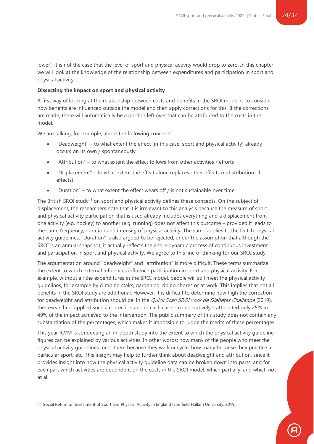lower), it is not the case that the level of sport and physical activity would drop to zero. In this chapter we will look at the knowledge of the relationship between expenditures and participation in sport and physical activity.

#### **Dissecting the impact on sport and physical activity**

A first way of looking at the relationship between costs and benefits in the SROI model is to consider how benefits are influenced outside the model and then apply corrections for this. If the corrections are made, there will automatically be a portion left over that can be attributed to the costs in the model.

We are talking, for example, about the following concepts:

- "Deadweight" to what extent the effect (in this case: sport and physical activity) already occurs on its own / spontaneously
- "Attribution" to what extent the effect follows from other activities / efforts
- "Displacement" to what extent the effect alone replaces other effects (redistribution of effects)
- "Duration" to what extent the effect wears off / is not sustainable over time

The British SROI study<sup>41</sup> on sport and physical activity defines these concepts. On the subject of displacement, the researchers note that it is irrelevant to this analysis because the measure of sport and physical activity participation that is used already includes everything and a displacement from one activity (e.g. hockey) to another (e.g. running) does not affect this outcome – provided it leads to the same frequency, duration and intensity of physical activity. The same applies to the Dutch physical activity guidelines. "Duration" is also argued to be rejected, under the assumption that although the SROI is an annual snapshot, it actually reflects the entire dynamic process of continuous investment and participation in sport and physical activity. We agree to this line of thinking for our SROI study.

The argumentation around "deadweight" and "attribution" is more difficult. These terms summarize the extent to which external influences influence participation in sport and physical activity. For example, without all the expenditures in the SROI model, people will still meet the physical activity guidelines, for example by climbing stairs, gardening, doing chores or at work. This implies that not all benefits in the SROI study are additional. However, it is difficult to determine how high the correction for deadweight and attribution should be. In the *Quick Scan SROI voor de Diabetes Challenge* (2019), the researchers applied such a correction and in each case – conservatively – attributed only 25% to 49% of the impact achieved to the intervention. The public summary of this study does not contain any substantiation of the percentages, which makes it impossible to judge the merits of these percentages.

This year RIVM is conducting an in-depth study into the extent to which the physical activity guideline figures can be explained by various activities. In other words: how many of the people who meet the physical activity guidelines meet them because they walk or cycle, how many because they practice a particular sport, etc. This insight may help to further think about deadweight and attribution, since it provides insight into how the physical activity guideline data can be broken down into parts, and for each part which activities are dependent on the costs in the SROI model, which partially, and which not at all.

41 Social Return on Investment of Sport and Physical Activity in England (Sheffield Hallam University, 2019).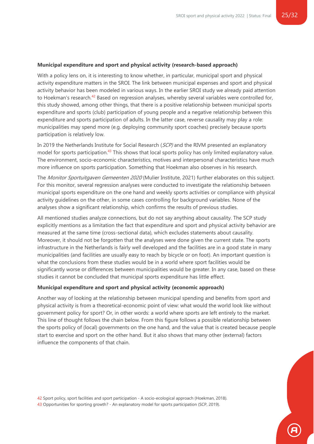#### **Municipal expenditure and sport and physical activity (research-based approach)**

With a policy lens on, it is interesting to know whether, in particular, municipal sport and physical activity expenditure matters in the SROI. The link between municipal expenses and sport and physical activity behavior has been modeled in various ways. In the earlier SROI study we already paid attention to Hoekman's research.<sup>42</sup> Based on regression analyses, whereby several variables were controlled for, this study showed, among other things, that there is a positive relationship between municipal sports expenditure and sports (club) participation of young people and a negative relationship between this expenditure and sports participation of adults. In the latter case, reverse causality may play a role: municipalities may spend more (e.g. deploying community sport coaches) precisely because sports participation is relatively low.

In 2019 the Netherlands Institute for Social Research (SCP) and the RIVM presented an explanatory model for sports participation.<sup>43</sup> This shows that local sports policy has only limited explanatory value. The environment, socio-economic characteristics, motives and interpersonal characteristics have much more influence on sports participation. Something that Hoekman also observes in his research.

The *Monitor Sportuitgaven Gemeenten 2020* (Mulier Institute, 2021) further elaborates on this subject. For this monitor, several regression analyses were conducted to investigate the relationship between municipal sports expenditure on the one hand and weekly sports activities or compliance with physical activity guidelines on the other, in some cases controlling for background variables. None of the analyses show a significant relationship, which confirms the results of previous studies.

All mentioned studies analyze connections, but do not say anything about causality. The SCP study explicitly mentions as a limitation the fact that expenditure and sport and physical activity behavior are measured at the same time (cross-sectional data), which excludes statements about causality. Moreover, it should not be forgotten that the analyses were done given the current state. The sports infrastructure in the Netherlands is fairly well developed and the facilities are in a good state in many municipalities (and facilities are usually easy to reach by bicycle or on foot). An important question is what the conclusions from these studies would be in a world where sport facilities would be significantly worse or differences between municipalities would be greater. In any case, based on these studies it cannot be concluded that municipal sports expenditure has little effect.

#### **Municipal expenditure and sport and physical activity (economic approach)**

Another way of looking at the relationship between municipal spending and benefits from sport and physical activity is from a theoretical-economic point of view: what would the world look like without government policy for sport? Or, in other words: a world where sports are left entirely to the market. This line of thought follows the chain below. From this figure follows a possible relationship between the sports policy of (local) governments on the one hand, and the value that is created because people start to exercise and sport on the other hand. But it also shows that many other (external) factors influence the components of that chain.

42 Sport policy, sport facilities and sport participation - A socio-ecological approach (Hoekman, 2018). 43 Opportunities for sporting growth? - An explanatory model for sports participation (SCP, 2019).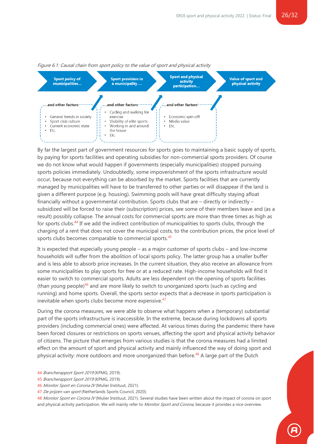

#### Figure 6.1: Causal chain from sport policy to the value of sport and physical activity

By far the largest part of government resources for sports goes to maintaining a basic supply of sports, by paying for sports facilities and operating subsidies for non-commercial sports providers. Of course we do not know what would happen if governments (especially municipalities) stopped pursuing sports policies immediately. Undoubtedly, some impoverishment of the sports infrastructure would occur, because not everything can be absorbed by the market. Sports facilities that are currently managed by municipalities will have to be transferred to other parties or will disappear if the land is given a different purpose (e.g. housing). Swimming pools will have great difficulty staying afloat financially without a governmental contribution. Sports clubs that are  $-$  directly or indirectly  $$ subsidized will be forced to raise their (subscription) prices, see some of their members leave and (as a result) possibly collapse. The annual costs for commercial sports are more than three times as high as for sports clubs.<sup>44</sup> If we add the indirect contribution of municipalities to sports clubs, through the charging of a rent that does not cover the municipal costs, to the contribution prices, the price level of sports clubs becomes comparable to commercial sports.<sup>45</sup>

It is expected that especially young people – as a major customer of sports clubs – and low-income households will suffer from the abolition of local sports policy. The latter group has a smaller buffer and is less able to absorb price increases. In the current situation, they also receive an allowance from some municipalities to play sports for free or at a reduced rate. High-income households will find it easier to switch to commercial sports. Adults are less dependent on the opening of sports facilities (than young people)<sup>46</sup> and are more likely to switch to unorganized sports (such as cycling and running) and home sports. Overall, the sports sector expects that a decrease in sports participation is inevitable when sports clubs become more expensive.<sup>47</sup>

During the corona measures, we were able to observe what happens when a (temporary) substantial part of the sports infrastructure is inaccessible. In the extreme, because during lockdowns all sports providers (including commercial ones) were affected. At various times during the pandemic there have been forced closures or restrictions on sports venues, affecting the sport and physical activity behavior of citizens. The picture that emerges from various studies is that the corona measures had a limited effect on the amount of sport and physical activity and mainly influenced the way of doing sport and physical activity: more outdoors and more unorganized than before.<sup>48</sup> A large part of the Dutch

- 45 Brancherapport Sport 2019 (KPMG, 2019).
- 46 Monitor Sport en Corona IV (Mulier Instituut, 2021).
- 47 De prijzen van sport (Netherlands Sports Council, 2020).

48 Monitor Sport en Corona IV (Mulier Instituut, 2021). Several studies have been written about the impact of corona on sport and physical activity participation. We will mainly refer to Monitor Sport and Corona, because it provides a nice overview.

<sup>44</sup> Brancherapport Sport 2019 (KPMG, 2019).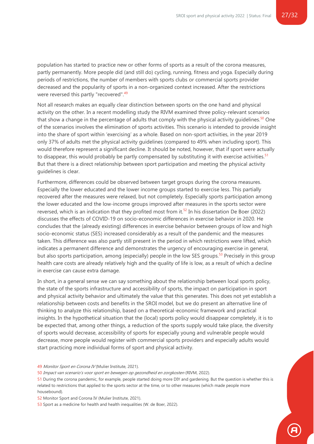population has started to practice new or other forms of sports as a result of the corona measures, partly permanently. More people did (and still do) cycling, running, fitness and yoga. Especially during periods of restrictions, the number of members with sports clubs or commercial sports provider decreased and the popularity of sports in a non-organized context increased. After the restrictions were reversed this partly "recovered".<sup>49</sup>

Not all research makes an equally clear distinction between sports on the one hand and physical activity on the other. In a recent modelling study the RIVM examined three policy-relevant scenarios that show a change in the percentage of adults that comply with the physical activity quidelines.<sup>50</sup> One of the scenarios involves the elimination of sports activities. This scenario is intended to provide insight into the share of sport within 'exercising' as a whole. Based on non-sport activities, in the year 2019 only 37% of adults met the physical activity guidelines (compared to 49% when including sport). This would therefore represent a significant decline. It should be noted, however, that if sport were actually to disappear, this would probably be partly compensated by substituting it with exercise activities.<sup>51</sup> But that there is a direct relationship between sport participation and meeting the physical activity guidelines is clear.

Furthermore, differences could be observed between target groups during the corona measures. Especially the lower educated and the lower income groups started to exercise less. This partially recovered after the measures were relaxed, but not completely. Especially sports participation among the lower educated and the low-income groups improved after measures in the sports sector were reversed, which is an indication that they profited most from it.<sup>52</sup> In his dissertation De Boer (2022) discusses the effects of COVID-19 on socio-economic differences in exercise behavior in 2020. He concludes that the (already existing) differences in exercise behavior between groups of low and high socio-economic status (SES) increased considerably as a result of the pandemic and the measures taken. This difference was also partly still present in the period in which restrictions were lifted, which indicates a permanent difference and demonstrates the urgency of encouraging exercise in general, but also sports participation, among (especially) people in the low SES groups.<sup>53</sup> Precisely in this group health care costs are already relatively high and the quality of life is low, as a result of which a decline in exercise can cause extra damage.

In short, in a general sense we can say something about the relationship between local sports policy, the state of the sports infrastructure and accessibility of sports, the impact on participation in sport and physical activity behavior and ultimately the value that this generates. This does not yet establish a relationship between costs and benefits in the SROI model, but we do present an alternative line of thinking to analyze this relationship, based on a theoretical-economic framework and practical insights. In the hypothetical situation that the (local) sports policy would disappear completely, it is to be expected that, among other things, a reduction of the sports supply would take place, the diversity of sports would decrease, accessibility of sports for especially young and vulnerable people would decrease, more people would register with commercial sports providers and especially adults would start practicing more individual forms of sport and physical activity.

49 Monitor Sport en Corona IV (Mulier Institute, 2021).

50 Impact van scenario's voor sport en bewegen op gezondheid en zorgkosten (RIVM, 2022).

51 During the corona pandemic, for example, people started doing more DIY and gardening. But the question is whether this is related to restrictions that applied to the sports sector at the time, or to other measures (which made people more housebound).

52 Monitor Sport and Corona IV (Mulier Institute, 2021).

53 Sport as a medicine for health and health inequalities (W. de Boer, 2022).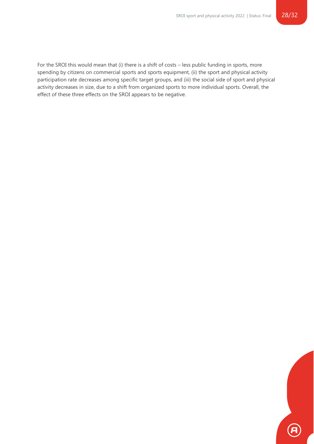For the SROI this would mean that (i) there is a shift of costs – less public funding in sports, more spending by citizens on commercial sports and sports equipment, (ii) the sport and physical activity participation rate decreases among specific target groups, and (iii) the social side of sport and physical activity decreases in size, due to a shift from organized sports to more individual sports. Overall, the effect of these three effects on the SROI appears to be negative.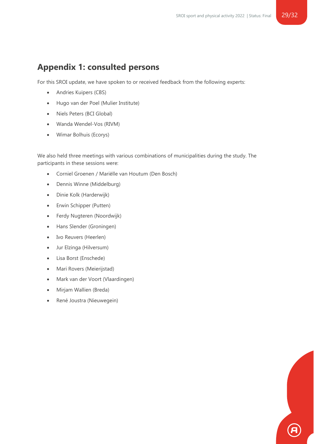# <span id="page-28-0"></span>**Appendix 1: consulted persons**

For this SROI update, we have spoken to or received feedback from the following experts:

- Andries Kuipers (CBS)
- Hugo van der Poel (Mulier Institute)
- Niels Peters (BCI Global)
- Wanda Wendel-Vos (RIVM)
- Wimar Bolhuis (Ecorys)

We also held three meetings with various combinations of municipalities during the study. The participants in these sessions were:

- Corniel Groenen / Mariëlle van Houtum (Den Bosch)
- Dennis Winne (Middelburg)
- Dinie Kolk (Harderwijk)
- Erwin Schipper (Putten)
- Ferdy Nugteren (Noordwijk)
- Hans Slender (Groningen)
- Ivo Reuvers (Heerlen)
- Jur Elzinga (Hilversum)
- Lisa Borst (Enschede)
- Mari Rovers (Meierijstad)
- Mark van der Voort (Vlaardingen)
- Mirjam Wallien (Breda)
- René Joustra (Nieuwegein)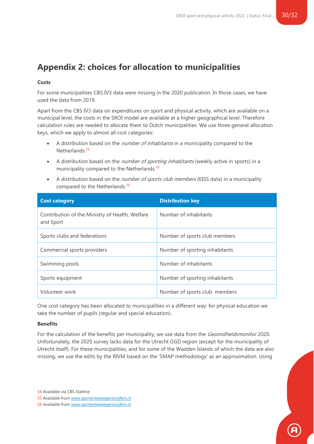# <span id="page-29-0"></span>**Appendix 2: choices for allocation to municipalities**

#### **Costs**

For some municipalities CBS IV3 data were missing in the 2020 publication. In those cases, we have used the data from 2019.

Apart from the CBS IV3 data on expenditures on sport and physical activity, which are available on a municipal level, the costs in the SROI model are available at a higher geographical level. Therefore calculation rules are needed to allocate them to Dutch municipalities. We use three general allocation keys, which we apply to almost all cost categories:

- A distribution based on the *number of inhabitants* in a municipality compared to the Netherlands. 54
- A distribution based on the *number of sporting inhabitants* (weekly active in sports) in a municipality compared to the Netherlands.<sup>55</sup>
- A distribution based on the *number of sports club members* (KISS data) in a municipality compared to the Netherlands.<sup>56</sup>

| <b>Cost category</b>                                         | <b>Distribution key</b>        |
|--------------------------------------------------------------|--------------------------------|
| Contribution of the Ministry of Health, Welfare<br>and Sport | Number of inhabitants          |
| Sports clubs and federations                                 | Number of sports club members  |
| Commercial sports providers                                  | Number of sporting inhabitants |
| Swimming pools                                               | Number of inhabitants          |
| Sports equipment                                             | Number of sporting inhabitants |
| Volunteer work                                               | Number of sports club members  |

One cost category has been allocated to municipalities in a different way: for physical education we take the number of pupils (regular and special education).

#### **Benefits**

For the calculation of the benefits per municipality, we use data from the *Gezondheidsmonitor* 2020. Unfortunately, the 2020 survey lacks data for the Utrecht GGD region (except for the municipality of Utrecht itself). For these municipalities, and for some of the Wadden Islands of which the data are also missing, we use the edits by the RIVM based on the 'SMAP methodology' as an approximation. Using

<sup>56</sup> Available from [www.sportenbewegenincijfers.nl](http://www.sportenbewegenincijfers.nl/)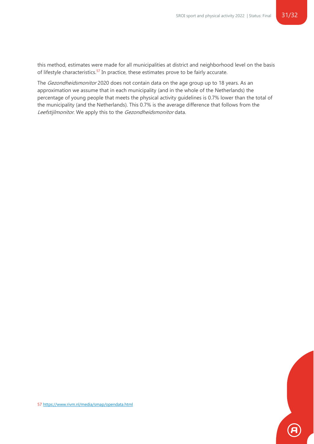this method, estimates were made for all municipalities at district and neighborhood level on the basis of lifestyle characteristics.<sup>57</sup> In practice, these estimates prove to be fairly accurate.

The Gezondheidsmonitor 2020 does not contain data on the age group up to 18 years. As an approximation we assume that in each municipality (and in the whole of the Netherlands) the percentage of young people that meets the physical activity guidelines is 0.7% lower than the total of the municipality (and the Netherlands). This 0.7% is the average difference that follows from the Leefstijlmonitor. We apply this to the Gezondheidsmonitor data.